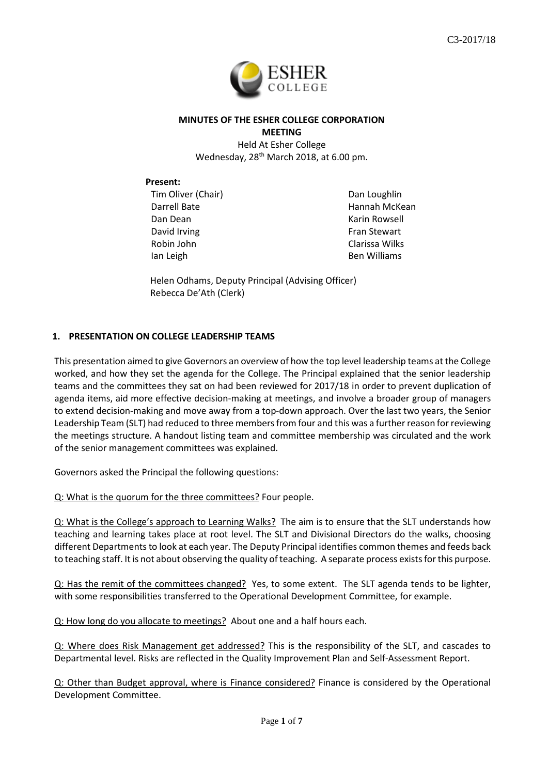

# **MINUTES OF THE ESHER COLLEGE CORPORATION MEETING**

Held At Esher College Wednesday, 28<sup>th</sup> March 2018, at 6.00 pm.

## **Present:**

Tim Oliver (Chair) Darrell Bate Dan Dean David Irving Robin John Ian Leigh

Dan Loughlin Hannah McKean Karin Rowsell Fran Stewart Clarissa Wilks Ben Williams

Helen Odhams, Deputy Principal (Advising Officer) Rebecca De'Ath (Clerk)

# **1. PRESENTATION ON COLLEGE LEADERSHIP TEAMS**

This presentation aimed to give Governors an overview of how the top level leadership teams at the College worked, and how they set the agenda for the College. The Principal explained that the senior leadership teams and the committees they sat on had been reviewed for 2017/18 in order to prevent duplication of agenda items, aid more effective decision-making at meetings, and involve a broader group of managers to extend decision-making and move away from a top-down approach. Over the last two years, the Senior Leadership Team (SLT) had reduced to three members from four and this was a further reason for reviewing the meetings structure. A handout listing team and committee membership was circulated and the work of the senior management committees was explained.

Governors asked the Principal the following questions:

Q: What is the quorum for the three committees? Four people.

Q: What is the College's approach to Learning Walks? The aim is to ensure that the SLT understands how teaching and learning takes place at root level. The SLT and Divisional Directors do the walks, choosing different Departments to look at each year. The Deputy Principal identifies common themes and feeds back to teaching staff. It is not about observing the quality of teaching. A separate process exists for this purpose.

Q: Has the remit of the committees changed? Yes, to some extent. The SLT agenda tends to be lighter, with some responsibilities transferred to the Operational Development Committee, for example.

Q: How long do you allocate to meetings? About one and a half hours each.

Q: Where does Risk Management get addressed? This is the responsibility of the SLT, and cascades to Departmental level. Risks are reflected in the Quality Improvement Plan and Self-Assessment Report.

Q: Other than Budget approval, where is Finance considered? Finance is considered by the Operational Development Committee.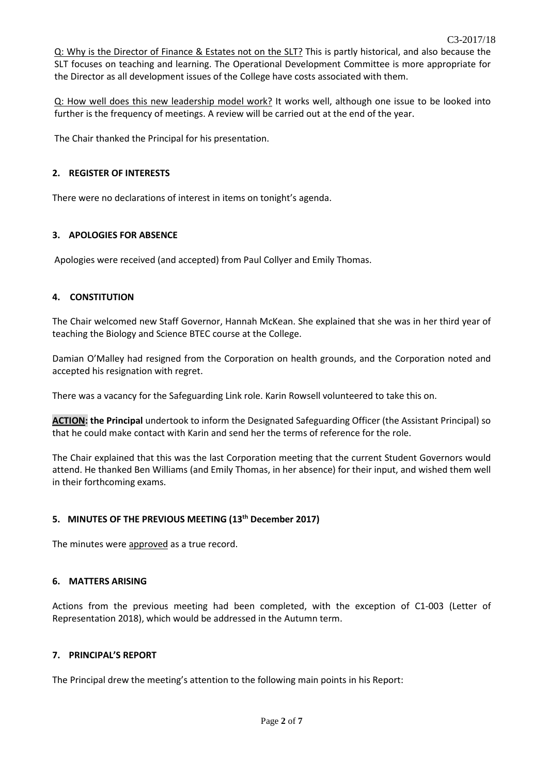Q: Why is the Director of Finance & Estates not on the SLT? This is partly historical, and also because the SLT focuses on teaching and learning. The Operational Development Committee is more appropriate for the Director as all development issues of the College have costs associated with them.

Q: How well does this new leadership model work? It works well, although one issue to be looked into further is the frequency of meetings. A review will be carried out at the end of the year.

The Chair thanked the Principal for his presentation.

### **2. REGISTER OF INTERESTS**

There were no declarations of interest in items on tonight's agenda.

## **3. APOLOGIES FOR ABSENCE**

Apologies were received (and accepted) from Paul Collyer and Emily Thomas.

## **4. CONSTITUTION**

The Chair welcomed new Staff Governor, Hannah McKean. She explained that she was in her third year of teaching the Biology and Science BTEC course at the College.

Damian O'Malley had resigned from the Corporation on health grounds, and the Corporation noted and accepted his resignation with regret.

There was a vacancy for the Safeguarding Link role. Karin Rowsell volunteered to take this on.

**ACTION: the Principal** undertook to inform the Designated Safeguarding Officer (the Assistant Principal) so that he could make contact with Karin and send her the terms of reference for the role.

The Chair explained that this was the last Corporation meeting that the current Student Governors would attend. He thanked Ben Williams (and Emily Thomas, in her absence) for their input, and wished them well in their forthcoming exams.

## **5. MINUTES OF THE PREVIOUS MEETING (13th December 2017)**

The minutes were approved as a true record.

#### **6. MATTERS ARISING**

Actions from the previous meeting had been completed, with the exception of C1-003 (Letter of Representation 2018), which would be addressed in the Autumn term.

#### **7. PRINCIPAL'S REPORT**

The Principal drew the meeting's attention to the following main points in his Report: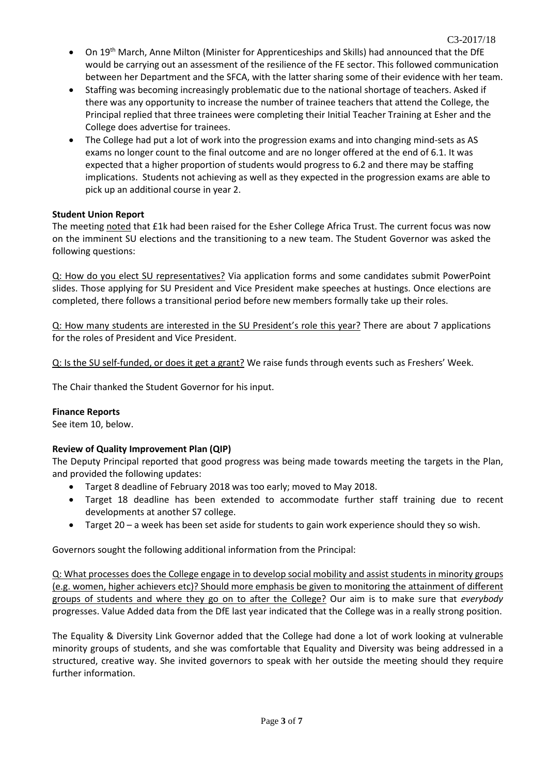- On 19<sup>th</sup> March, Anne Milton (Minister for Apprenticeships and Skills) had announced that the DfE would be carrying out an assessment of the resilience of the FE sector. This followed communication between her Department and the SFCA, with the latter sharing some of their evidence with her team.
- Staffing was becoming increasingly problematic due to the national shortage of teachers. Asked if there was any opportunity to increase the number of trainee teachers that attend the College, the Principal replied that three trainees were completing their Initial Teacher Training at Esher and the College does advertise for trainees.
- The College had put a lot of work into the progression exams and into changing mind-sets as AS exams no longer count to the final outcome and are no longer offered at the end of 6.1. It was expected that a higher proportion of students would progress to 6.2 and there may be staffing implications. Students not achieving as well as they expected in the progression exams are able to pick up an additional course in year 2.

## **Student Union Report**

The meeting noted that £1k had been raised for the Esher College Africa Trust. The current focus was now on the imminent SU elections and the transitioning to a new team. The Student Governor was asked the following questions:

Q: How do you elect SU representatives? Via application forms and some candidates submit PowerPoint slides. Those applying for SU President and Vice President make speeches at hustings. Once elections are completed, there follows a transitional period before new members formally take up their roles.

Q: How many students are interested in the SU President's role this year? There are about 7 applications for the roles of President and Vice President.

Q: Is the SU self-funded, or does it get a grant? We raise funds through events such as Freshers' Week.

The Chair thanked the Student Governor for his input.

## **Finance Reports**

See item 10, below.

# **Review of Quality Improvement Plan (QIP)**

The Deputy Principal reported that good progress was being made towards meeting the targets in the Plan, and provided the following updates:

- Target 8 deadline of February 2018 was too early; moved to May 2018.
- Target 18 deadline has been extended to accommodate further staff training due to recent developments at another S7 college.
- Target 20 a week has been set aside for students to gain work experience should they so wish.

Governors sought the following additional information from the Principal:

Q: What processes does the College engage in to develop social mobility and assist students in minority groups (e.g. women, higher achievers etc)? Should more emphasis be given to monitoring the attainment of different groups of students and where they go on to after the College? Our aim is to make sure that *everybody* progresses. Value Added data from the DfE last year indicated that the College was in a really strong position.

The Equality & Diversity Link Governor added that the College had done a lot of work looking at vulnerable minority groups of students, and she was comfortable that Equality and Diversity was being addressed in a structured, creative way. She invited governors to speak with her outside the meeting should they require further information.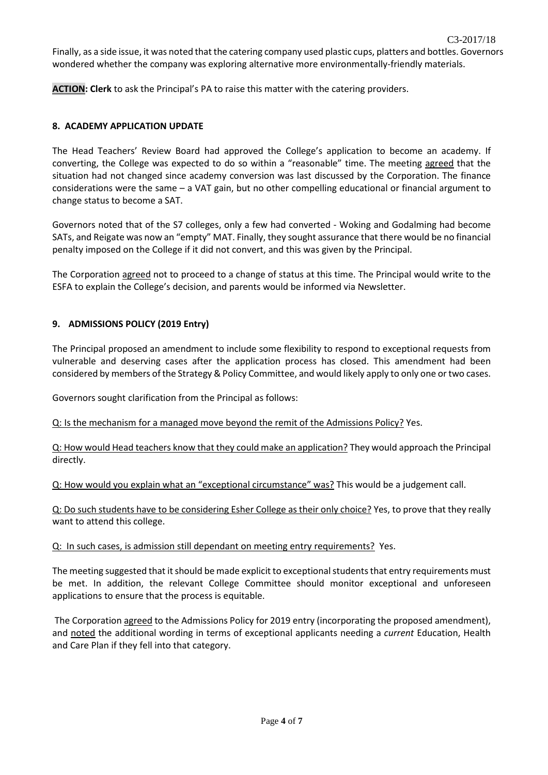Finally, as a side issue, it was noted that the catering company used plastic cups, platters and bottles. Governors wondered whether the company was exploring alternative more environmentally-friendly materials.

**ACTION: Clerk** to ask the Principal's PA to raise this matter with the catering providers.

## **8. ACADEMY APPLICATION UPDATE**

The Head Teachers' Review Board had approved the College's application to become an academy. If converting, the College was expected to do so within a "reasonable" time. The meeting agreed that the situation had not changed since academy conversion was last discussed by the Corporation. The finance considerations were the same – a VAT gain, but no other compelling educational or financial argument to change status to become a SAT.

Governors noted that of the S7 colleges, only a few had converted - Woking and Godalming had become SATs, and Reigate was now an "empty" MAT. Finally, they sought assurance that there would be no financial penalty imposed on the College if it did not convert, and this was given by the Principal.

The Corporation agreed not to proceed to a change of status at this time. The Principal would write to the ESFA to explain the College's decision, and parents would be informed via Newsletter.

# **9. ADMISSIONS POLICY (2019 Entry)**

The Principal proposed an amendment to include some flexibility to respond to exceptional requests from vulnerable and deserving cases after the application process has closed. This amendment had been considered by members of the Strategy & Policy Committee, and would likely apply to only one or two cases.

Governors sought clarification from the Principal as follows:

Q: Is the mechanism for a managed move beyond the remit of the Admissions Policy? Yes.

Q: How would Head teachers know that they could make an application? They would approach the Principal directly.

Q: How would you explain what an "exceptional circumstance" was? This would be a judgement call.

Q: Do such students have to be considering Esher College as their only choice? Yes, to prove that they really want to attend this college.

Q: In such cases, is admission still dependant on meeting entry requirements? Yes.

The meeting suggested that it should be made explicit to exceptional students that entry requirements must be met. In addition, the relevant College Committee should monitor exceptional and unforeseen applications to ensure that the process is equitable.

The Corporation agreed to the Admissions Policy for 2019 entry (incorporating the proposed amendment), and noted the additional wording in terms of exceptional applicants needing a *current* Education, Health and Care Plan if they fell into that category.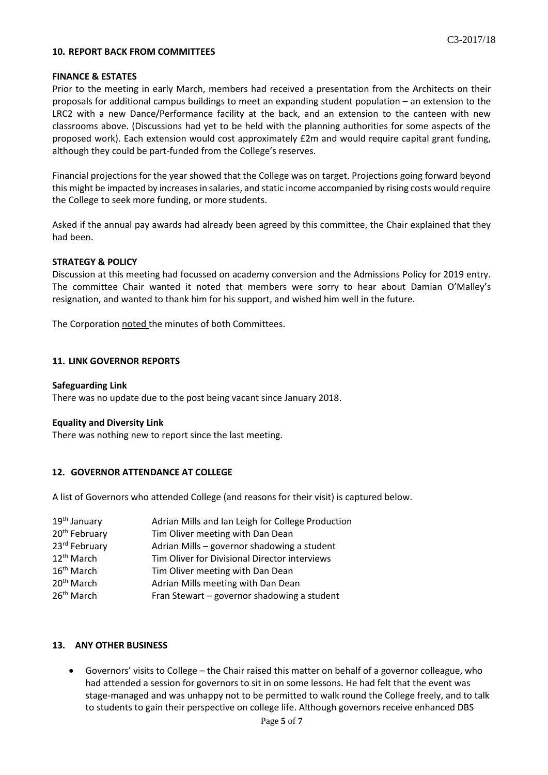#### **10. REPORT BACK FROM COMMITTEES**

#### **FINANCE & ESTATES**

Prior to the meeting in early March, members had received a presentation from the Architects on their proposals for additional campus buildings to meet an expanding student population – an extension to the LRC2 with a new Dance/Performance facility at the back, and an extension to the canteen with new classrooms above. (Discussions had yet to be held with the planning authorities for some aspects of the proposed work). Each extension would cost approximately £2m and would require capital grant funding, although they could be part-funded from the College's reserves.

Financial projections for the year showed that the College was on target. Projections going forward beyond this might be impacted by increases in salaries, and static income accompanied by rising costs would require the College to seek more funding, or more students.

Asked if the annual pay awards had already been agreed by this committee, the Chair explained that they had been.

#### **STRATEGY & POLICY**

Discussion at this meeting had focussed on academy conversion and the Admissions Policy for 2019 entry. The committee Chair wanted it noted that members were sorry to hear about Damian O'Malley's resignation, and wanted to thank him for his support, and wished him well in the future.

The Corporation noted the minutes of both Committees.

#### **11. LINK GOVERNOR REPORTS**

#### **Safeguarding Link**

There was no update due to the post being vacant since January 2018.

#### **Equality and Diversity Link**

There was nothing new to report since the last meeting.

#### **12. GOVERNOR ATTENDANCE AT COLLEGE**

A list of Governors who attended College (and reasons for their visit) is captured below.

| 19 <sup>th</sup> January  | Adrian Mills and Ian Leigh for College Production |
|---------------------------|---------------------------------------------------|
| 20 <sup>th</sup> February | Tim Oliver meeting with Dan Dean                  |
| 23rd February             | Adrian Mills - governor shadowing a student       |
| 12 <sup>th</sup> March    | Tim Oliver for Divisional Director interviews     |
| 16 <sup>th</sup> March    | Tim Oliver meeting with Dan Dean                  |
| 20 <sup>th</sup> March    | Adrian Mills meeting with Dan Dean                |
| 26 <sup>th</sup> March    | Fran Stewart - governor shadowing a student       |

## **13. ANY OTHER BUSINESS**

• Governors' visits to College – the Chair raised this matter on behalf of a governor colleague, who had attended a session for governors to sit in on some lessons. He had felt that the event was stage-managed and was unhappy not to be permitted to walk round the College freely, and to talk to students to gain their perspective on college life. Although governors receive enhanced DBS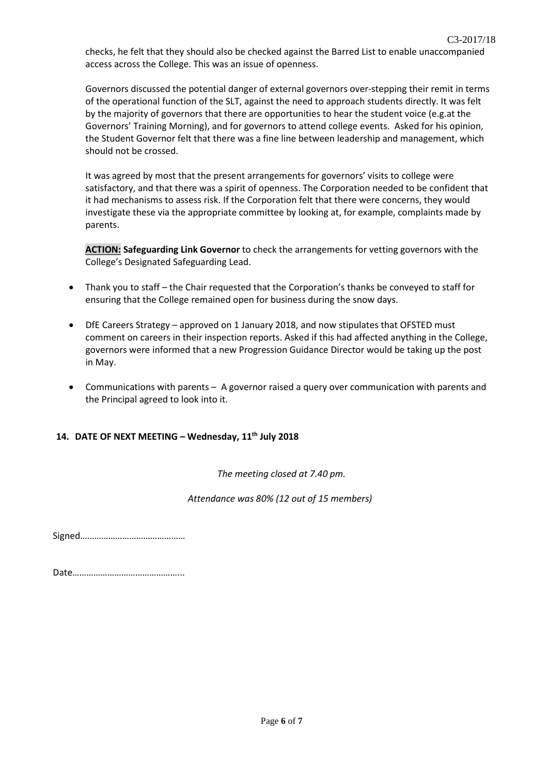checks, he felt that they should also be checked against the Barred List to enable unaccompanied access across the College. This was an issue of openness.

Governors discussed the potential danger of external governors over-stepping their remit in terms of the operational function of the SLT, against the need to approach students directly. It was felt by the majority of governors that there are opportunities to hear the student voice (e.g.at the Governors' Training Morning), and for governors to attend college events. Asked for his opinion, the Student Governor felt that there was a fine line between leadership and management, which should not be crossed.

It was agreed by most that the present arrangements for governors' visits to college were satisfactory, and that there was a spirit of openness. The Corporation needed to be confident that it had mechanisms to assess risk. If the Corporation felt that there were concerns, they would investigate these via the appropriate committee by looking at, for example, complaints made by parents.

**ACTION: Safeguarding Link Governor** to check the arrangements for vetting governors with the College's Designated Safeguarding Lead.

- Thank you to staff the Chair requested that the Corporation's thanks be conveyed to staff for ensuring that the College remained open for business during the snow days.
- DfE Careers Strategy approved on 1 January 2018, and now stipulates that OFSTED must comment on careers in their inspection reports. Asked if this had affected anything in the College, governors were informed that a new Progression Guidance Director would be taking up the post in May.
- Communications with parents A governor raised a query over communication with parents and the Principal agreed to look into it.

# **14. DATE OF NEXT MEETING – Wednesday, 11th July 2018**

*The meeting closed at 7.40 pm.*

 *Attendance was 80% (12 out of 15 members)*

Signed………………………………………

Date………………………………………...